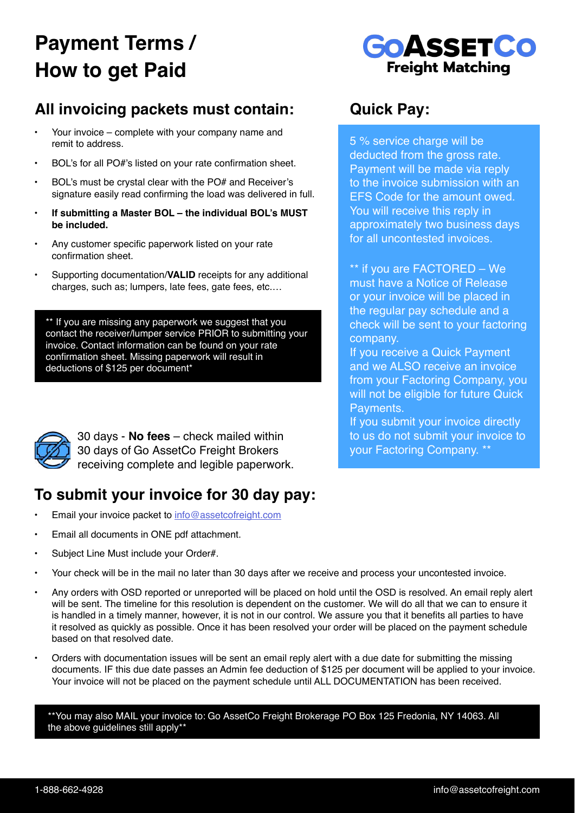# **Payment Terms / How to get Paid**



### **All invoicing packets must contain: Quick Pay:**

- Your invoice complete with your company name and remit to address.
- BOL's for all PO#'s listed on your rate confirmation sheet.
- BOL's must be crystal clear with the PO# and Receiver's signature easily read confirming the load was delivered in full.
- **• If submitting a Master BOL the individual BOL's MUST be included.**
- Any customer specific paperwork listed on your rate confirmation sheet.
- Supporting documentation/**VALID** receipts for any additional charges, such as; lumpers, late fees, gate fees, etc.…

\*\* If you are missing any paperwork we suggest that you contact the receiver/lumper service PRIOR to submitting your invoice. Contact information can be found on your rate confirmation sheet. Missing paperwork will result in deductions of \$125 per document\*



30 days - **No fees** – check mailed within 30 days of Go AssetCo Freight Brokers receiving complete and legible paperwork.

#### **To submit your invoice for 30 day pay:**

- Email your invoice packet to [info@assetcofreight.com](http://info@assetcofreight.com)
- Email all documents in ONE pdf attachment.
- Subject Line Must include your Order#.
- Your check will be in the mail no later than 30 days after we receive and process your uncontested invoice.
- Any orders with OSD reported or unreported will be placed on hold until the OSD is resolved. An email reply alert will be sent. The timeline for this resolution is dependent on the customer. We will do all that we can to ensure it is handled in a timely manner, however, it is not in our control. We assure you that it benefits all parties to have it resolved as quickly as possible. Once it has been resolved your order will be placed on the payment schedule based on that resolved date.
- Orders with documentation issues will be sent an email reply alert with a due date for submitting the missing documents. IF this due date passes an Admin fee deduction of \$125 per document will be applied to your invoice. Your invoice will not be placed on the payment schedule until ALL DOCUMENTATION has been received.

\*\*You may also MAIL your invoice to: Go AssetCo Freight Brokerage PO Box 125 Fredonia, NY 14063. All the above guidelines still apply\*\*

5 % service charge will be deducted from the gross rate. Payment will be made via reply to the invoice submission with an EFS Code for the amount owed. You will receive this reply in approximately two business days for all uncontested invoices.

\*\* if you are FACTORED – We must have a Notice of Release or your invoice will be placed in the regular pay schedule and a check will be sent to your factoring company.

If you receive a Quick Payment and we ALSO receive an invoice from your Factoring Company, you will not be eligible for future Quick Payments.

If you submit your invoice directly to us do not submit your invoice to your Factoring Company. \*\*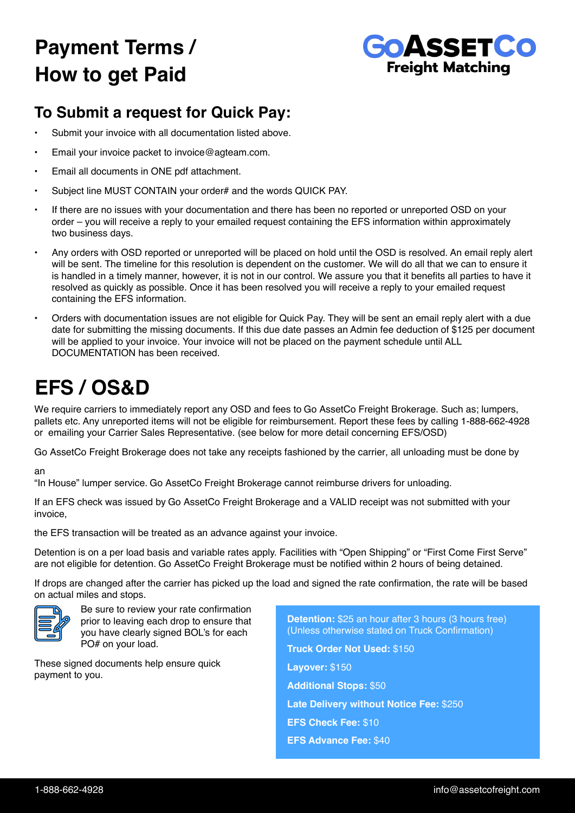# **Payment Terms / How to get Paid**



#### **To Submit a request for Quick Pay:**

- Submit your invoice with all documentation listed above.
- Email your invoice packet to invoice@agteam.com.
- Email all documents in ONE pdf attachment.
- Subject line MUST CONTAIN your order# and the words QUICK PAY.
- If there are no issues with your documentation and there has been no reported or unreported OSD on your order – you will receive a reply to your emailed request containing the EFS information within approximately two business days.
- Any orders with OSD reported or unreported will be placed on hold until the OSD is resolved. An email reply alert will be sent. The timeline for this resolution is dependent on the customer. We will do all that we can to ensure it is handled in a timely manner, however, it is not in our control. We assure you that it benefits all parties to have it resolved as quickly as possible. Once it has been resolved you will receive a reply to your emailed request containing the EFS information.
- Orders with documentation issues are not eligible for Quick Pay. They will be sent an email reply alert with a due date for submitting the missing documents. If this due date passes an Admin fee deduction of \$125 per document will be applied to your invoice. Your invoice will not be placed on the payment schedule until ALL DOCUMENTATION has been received.

## **EFS / OS&D**

We require carriers to immediately report any OSD and fees to Go AssetCo Freight Brokerage. Such as: lumpers, pallets etc. Any unreported items will not be eligible for reimbursement. Report these fees by calling 1-888-662-4928 or emailing your Carrier Sales Representative. (see below for more detail concerning EFS/OSD)

Go AssetCo Freight Brokerage does not take any receipts fashioned by the carrier, all unloading must be done by

an

"In House" lumper service. Go AssetCo Freight Brokerage cannot reimburse drivers for unloading.

If an EFS check was issued by Go AssetCo Freight Brokerage and a VALID receipt was not submitted with your invoice,

the EFS transaction will be treated as an advance against your invoice.

Detention is on a per load basis and variable rates apply. Facilities with "Open Shipping" or "First Come First Serve" are not eligible for detention. Go AssetCo Freight Brokerage must be notified within 2 hours of being detained.

If drops are changed after the carrier has picked up the load and signed the rate confirmation, the rate will be based on actual miles and stops.



Be sure to review your rate confirmation prior to leaving each drop to ensure that you have clearly signed BOL's for each PO# on your load.

These signed documents help ensure quick payment to you.

**Detention:** \$25 an hour after 3 hours (3 hours free) (Unless otherwise stated on Truck Confirmation) **Truck Order Not Used:** \$150 **Layover:** \$150 **Additional Stops:** \$50 **Late Delivery without Notice Fee:** \$250 **EFS Check Fee:** \$10 **EFS Advance Fee:** \$40